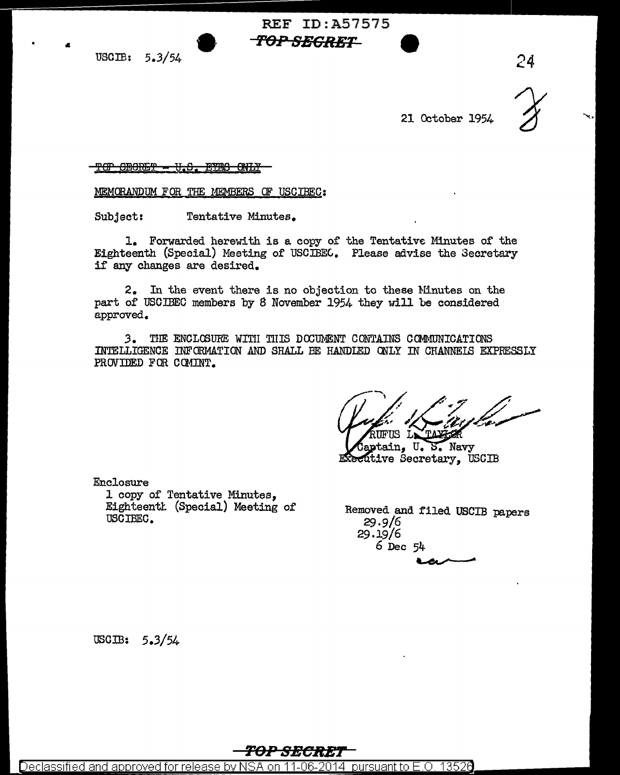USCIB: 5.3/54

REF ID:A57575 **f"8:P SEGRET 9** 

21 October 1954

*24* 

#### $\begin{array}{l} {\rm F0P} \begin{array}{l} {\rm G}\text{E0R}\text{F}\text{F} \end{array} = 0.31 \begin{array}{l} {\rm F100} \end{array} \begin{array}{l} {\rm C00} \end{array} \end{array}$

MEMORANDUM FOR THE MEMBERS OF USCIBEC:

Subject: Tentative Minutes.

l. Forwarded herewith is a copy of the Tentative Minutes of the Eighteenth (Special) Meeting of USCIBEG. Please advise the Secretary if any changes are desired.

 $2.$  In the event there is no objection to these Minutes on the part of USCIBEC members by 8 November 1954 they will be considered approved •

3. THE ENCLOSURE WITH THIS DOCUMENT CONTAINS COMMUNICATIONS INTELLIGENCE INFORMATION .AND SHALL BE HANDLED ONLY IN CHANNELS EXPRESSLY PROVIDED FOR C CMINT.

 $\n *l*, *l*, *r*, *l*, *l*, *l*, *l*, *l*, *l*, *l*, *l*, *l*, *l*, *l*, *l*, *l*, *l*, *l*, *l*, *l*, *l*, *l*, *l*, *l*, *l*, *l*, *l*, *l*, *l*, *l*, *l*,$  $\mathcal{C} \times \mathcal{C} \times \mathcal{C}$  $\mu \not\!\!\!\!\mu_1$  is the plane RUFUS L<del>YAYIA</del><br>aptain, U.S. Navy

Executive Secretary, USCIB

Enclosure

1 copy of Tentative Minutes, Eighteentt (Special) Meeting of USGIBEC.

Removed and filed USCIB papers 29.9/6 29.19/6 6 Dec 54  $\overline{\phantom{a}}$ 

USCIB: 5.3/54

*TOPSBCBET* 

Declassified and approved for release by NSA on 11-06-2014 pursuant to E.O. 13526

•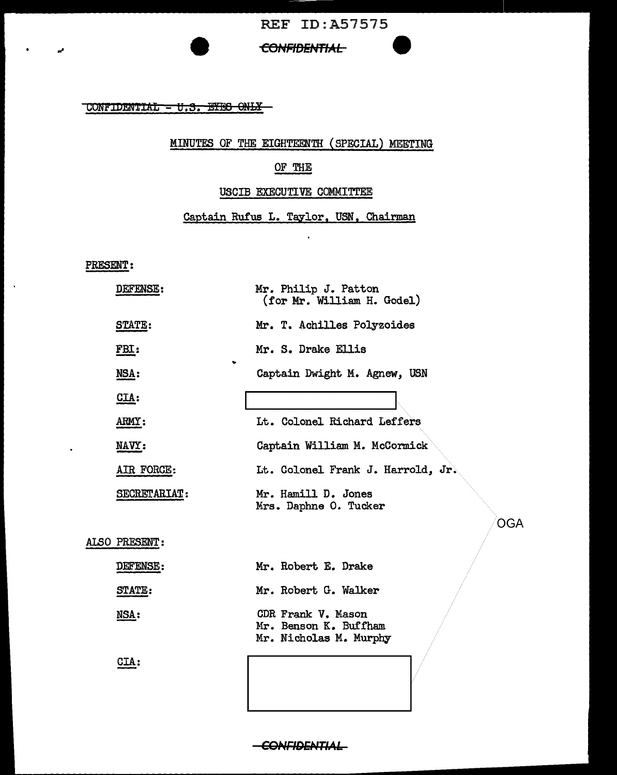REF ID:A57575

**CONFIDENTIAL** 

 $CONFIDENTIAL - U.S. EYES ONLY$ 

### MINUTES OF THE EIGHTEENTH (SPECIAL) MEETING

# OF THE

## USCIB EXECUTIVE COMMITrEE

# Captain Rufus L. Taylor, USN, Chairman

 $\ddot{\phantom{a}}$ 

### PRESENT:

مر

 $\ddot{\phantom{a}}$ 

| DEFENSE:     | Mr. Philip J. Patton<br>(for Mr. William H. Godel) |
|--------------|----------------------------------------------------|
| STATE:       | Mr. T. Achilles Polyzoides                         |
| FBI:         | Mr. S. Drake Ellis                                 |
| NSA:         | Captain Dwight M. Agnew, USN                       |
| $CLA$ :      |                                                    |
| ARMY:        | Lt. Colonel Richard Leffers                        |
| NAVY:        | Captain William M. McCormick                       |
| AIR FORCE:   | Lt. Colonel Frank J. Harrold, Jr.                  |
| SECRETARIAT: | Mr. Hamill D. Jones<br>Mrs. Daphne O. Tucker       |
|              | OGA                                                |

ALSO PRESENT:

| DEFENSE: | Mr. Robert E. Drake                                                   |
|----------|-----------------------------------------------------------------------|
| STATE:   | Mr. Robert G. Walker                                                  |
| NSA:     | CDR Frank V. Mason<br>Mr. Benson K. Buffham<br>Mr. Nicholas M. Murphy |

CIA:

**CONFIDENTIAL**